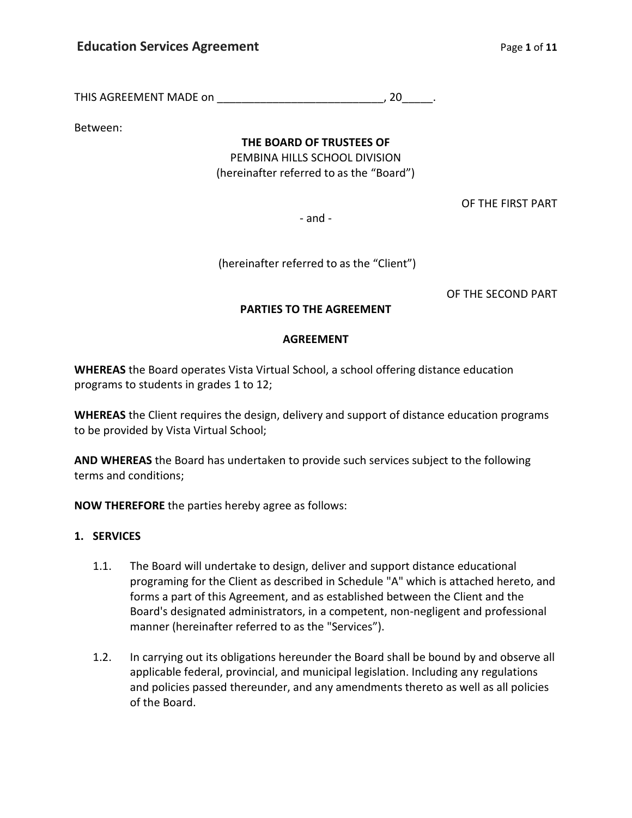THIS AGREEMENT MADE on \_\_\_\_\_\_\_\_\_\_\_\_\_\_\_\_\_\_\_\_\_\_\_\_\_\_\_\_\_\_\_\_\_\_, 20\_\_\_\_\_\_.

Between:

**THE BOARD OF TRUSTEES OF**

PEMBINA HILLS SCHOOL DIVISION (hereinafter referred to as the "Board")

OF THE FIRST PART

- and -

(hereinafter referred to as the "Client")

OF THE SECOND PART

## **PARTIES TO THE AGREEMENT**

#### **AGREEMENT**

**WHEREAS** the Board operates Vista Virtual School, a school offering distance education programs to students in grades 1 to 12;

**WHEREAS** the Client requires the design, delivery and support of distance education programs to be provided by Vista Virtual School;

**AND WHEREAS** the Board has undertaken to provide such services subject to the following terms and conditions;

**NOW THEREFORE** the parties hereby agree as follows:

### **1. SERVICES**

- 1.1. The Board will undertake to design, deliver and support distance educational programing for the Client as described in Schedule "A" which is attached hereto, and forms a part of this Agreement, and as established between the Client and the Board's designated administrators, in a competent, non-negligent and professional manner (hereinafter referred to as the "Services").
- 1.2. In carrying out its obligations hereunder the Board shall be bound by and observe all applicable federal, provincial, and municipal legislation. Including any regulations and policies passed thereunder, and any amendments thereto as well as all policies of the Board.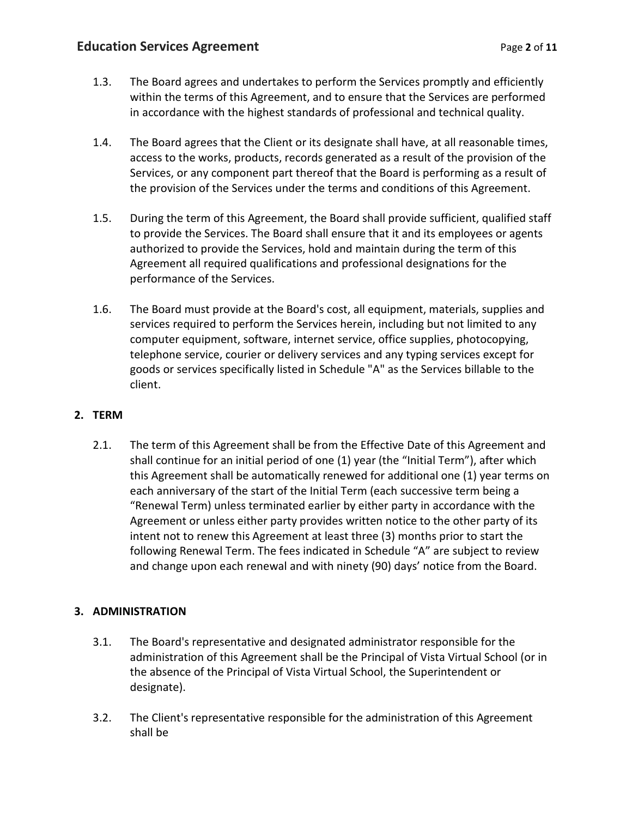- 1.3. The Board agrees and undertakes to perform the Services promptly and efficiently within the terms of this Agreement, and to ensure that the Services are performed in accordance with the highest standards of professional and technical quality.
- 1.4. The Board agrees that the Client or its designate shall have, at all reasonable times, access to the works, products, records generated as a result of the provision of the Services, or any component part thereof that the Board is performing as a result of the provision of the Services under the terms and conditions of this Agreement.
- 1.5. During the term of this Agreement, the Board shall provide sufficient, qualified staff to provide the Services. The Board shall ensure that it and its employees or agents authorized to provide the Services, hold and maintain during the term of this Agreement all required qualifications and professional designations for the performance of the Services.
- 1.6. The Board must provide at the Board's cost, all equipment, materials, supplies and services required to perform the Services herein, including but not limited to any computer equipment, software, internet service, office supplies, photocopying, telephone service, courier or delivery services and any typing services except for goods or services specifically listed in Schedule "A" as the Services billable to the client.

# **2. TERM**

2.1. The term of this Agreement shall be from the Effective Date of this Agreement and shall continue for an initial period of one (1) year (the "Initial Term"), after which this Agreement shall be automatically renewed for additional one (1) year terms on each anniversary of the start of the Initial Term (each successive term being a "Renewal Term) unless terminated earlier by either party in accordance with the Agreement or unless either party provides written notice to the other party of its intent not to renew this Agreement at least three (3) months prior to start the following Renewal Term. The fees indicated in Schedule "A" are subject to review and change upon each renewal and with ninety (90) days' notice from the Board.

# **3. ADMINISTRATION**

- 3.1. The Board's representative and designated administrator responsible for the administration of this Agreement shall be the Principal of Vista Virtual School (or in the absence of the Principal of Vista Virtual School, the Superintendent or designate).
- 3.2. The Client's representative responsible for the administration of this Agreement shall be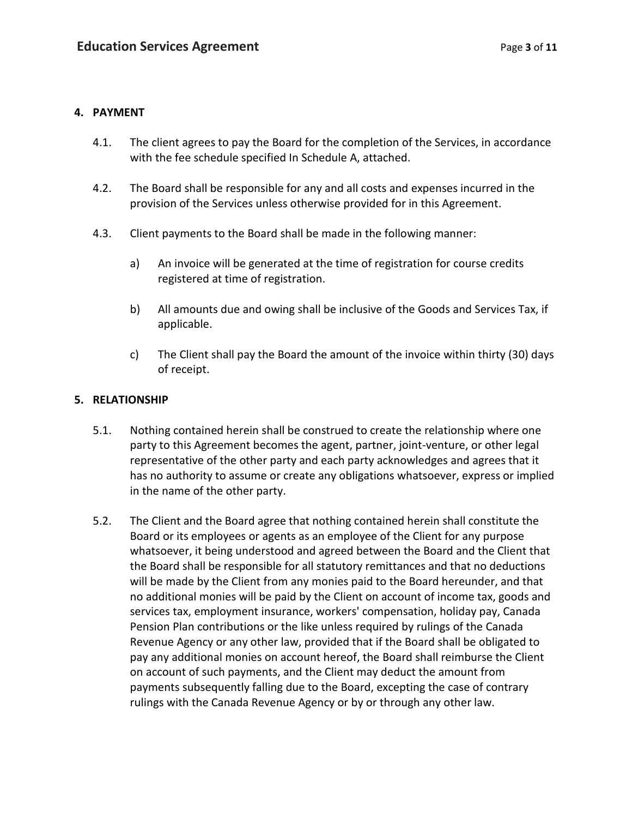### **4. PAYMENT**

- 4.1. The client agrees to pay the Board for the completion of the Services, in accordance with the fee schedule specified In Schedule A, attached.
- 4.2. The Board shall be responsible for any and all costs and expenses incurred in the provision of the Services unless otherwise provided for in this Agreement.
- 4.3. Client payments to the Board shall be made in the following manner:
	- a) An invoice will be generated at the time of registration for course credits registered at time of registration.
	- b) All amounts due and owing shall be inclusive of the Goods and Services Tax, if applicable.
	- c) The Client shall pay the Board the amount of the invoice within thirty (30) days of receipt.

## **5. RELATIONSHIP**

- 5.1. Nothing contained herein shall be construed to create the relationship where one party to this Agreement becomes the agent, partner, joint-venture, or other legal representative of the other party and each party acknowledges and agrees that it has no authority to assume or create any obligations whatsoever, express or implied in the name of the other party.
- 5.2. The Client and the Board agree that nothing contained herein shall constitute the Board or its employees or agents as an employee of the Client for any purpose whatsoever, it being understood and agreed between the Board and the Client that the Board shall be responsible for all statutory remittances and that no deductions will be made by the Client from any monies paid to the Board hereunder, and that no additional monies will be paid by the Client on account of income tax, goods and services tax, employment insurance, workers' compensation, holiday pay, Canada Pension Plan contributions or the like unless required by rulings of the Canada Revenue Agency or any other law, provided that if the Board shall be obligated to pay any additional monies on account hereof, the Board shall reimburse the Client on account of such payments, and the Client may deduct the amount from payments subsequently falling due to the Board, excepting the case of contrary rulings with the Canada Revenue Agency or by or through any other law.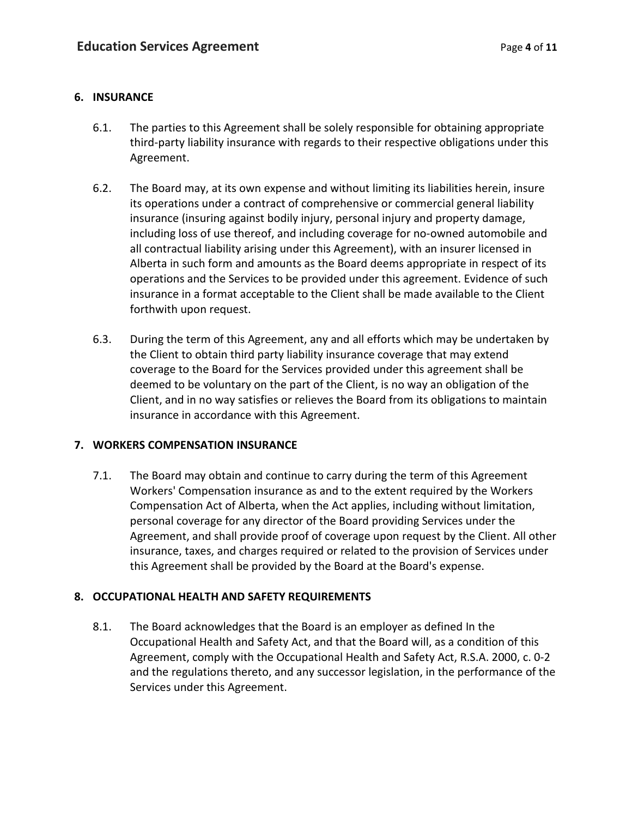## **6. INSURANCE**

- 6.1. The parties to this Agreement shall be solely responsible for obtaining appropriate third-party liability insurance with regards to their respective obligations under this Agreement.
- 6.2. The Board may, at its own expense and without limiting its liabilities herein, insure its operations under a contract of comprehensive or commercial general liability insurance (insuring against bodily injury, personal injury and property damage, including loss of use thereof, and including coverage for no-owned automobile and all contractual liability arising under this Agreement), with an insurer licensed in Alberta in such form and amounts as the Board deems appropriate in respect of its operations and the Services to be provided under this agreement. Evidence of such insurance in a format acceptable to the Client shall be made available to the Client forthwith upon request.
- 6.3. During the term of this Agreement, any and all efforts which may be undertaken by the Client to obtain third party liability insurance coverage that may extend coverage to the Board for the Services provided under this agreement shall be deemed to be voluntary on the part of the Client, is no way an obligation of the Client, and in no way satisfies or relieves the Board from its obligations to maintain insurance in accordance with this Agreement.

# **7. WORKERS COMPENSATION INSURANCE**

7.1. The Board may obtain and continue to carry during the term of this Agreement Workers' Compensation insurance as and to the extent required by the Workers Compensation Act of Alberta, when the Act applies, including without limitation, personal coverage for any director of the Board providing Services under the Agreement, and shall provide proof of coverage upon request by the Client. All other insurance, taxes, and charges required or related to the provision of Services under this Agreement shall be provided by the Board at the Board's expense.

# **8. OCCUPATIONAL HEALTH AND SAFETY REQUIREMENTS**

8.1. The Board acknowledges that the Board is an employer as defined In the Occupational Health and Safety Act, and that the Board will, as a condition of this Agreement, comply with the Occupational Health and Safety Act, R.S.A. 2000, c. 0-2 and the regulations thereto, and any successor legislation, in the performance of the Services under this Agreement.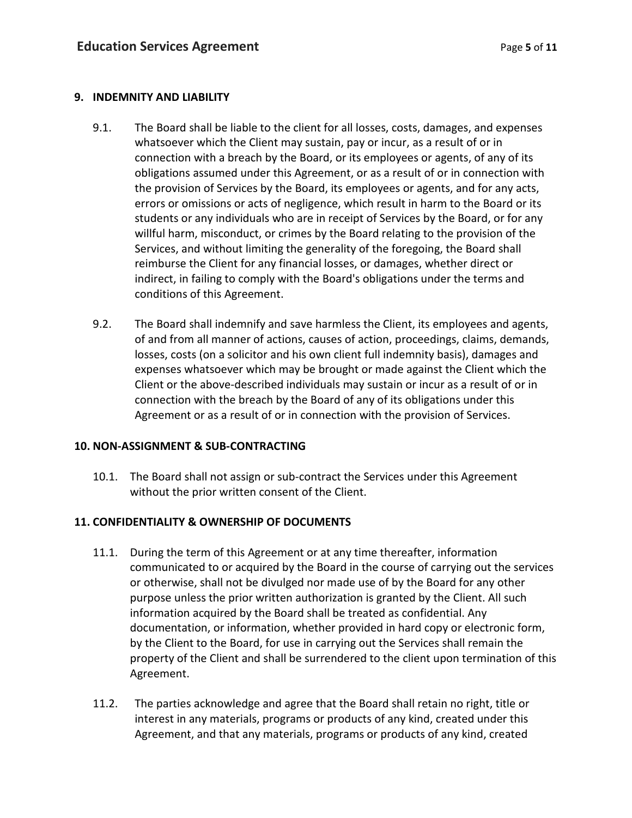## **9. INDEMNITY AND LIABILITY**

- 9.1. The Board shall be liable to the client for all losses, costs, damages, and expenses whatsoever which the Client may sustain, pay or incur, as a result of or in connection with a breach by the Board, or its employees or agents, of any of its obligations assumed under this Agreement, or as a result of or in connection with the provision of Services by the Board, its employees or agents, and for any acts, errors or omissions or acts of negligence, which result in harm to the Board or its students or any individuals who are in receipt of Services by the Board, or for any willful harm, misconduct, or crimes by the Board relating to the provision of the Services, and without limiting the generality of the foregoing, the Board shall reimburse the Client for any financial losses, or damages, whether direct or indirect, in failing to comply with the Board's obligations under the terms and conditions of this Agreement.
- 9.2. The Board shall indemnify and save harmless the Client, its employees and agents, of and from all manner of actions, causes of action, proceedings, claims, demands, losses, costs (on a solicitor and his own client full indemnity basis), damages and expenses whatsoever which may be brought or made against the Client which the Client or the above-described individuals may sustain or incur as a result of or in connection with the breach by the Board of any of its obligations under this Agreement or as a result of or in connection with the provision of Services.

# **10. NON-ASSIGNMENT & SUB-CONTRACTING**

10.1. The Board shall not assign or sub-contract the Services under this Agreement without the prior written consent of the Client.

# **11. CONFIDENTIALITY & OWNERSHIP OF DOCUMENTS**

- 11.1. During the term of this Agreement or at any time thereafter, information communicated to or acquired by the Board in the course of carrying out the services or otherwise, shall not be divulged nor made use of by the Board for any other purpose unless the prior written authorization is granted by the Client. All such information acquired by the Board shall be treated as confidential. Any documentation, or information, whether provided in hard copy or electronic form, by the Client to the Board, for use in carrying out the Services shall remain the property of the Client and shall be surrendered to the client upon termination of this Agreement.
- 11.2. The parties acknowledge and agree that the Board shall retain no right, title or interest in any materials, programs or products of any kind, created under this Agreement, and that any materials, programs or products of any kind, created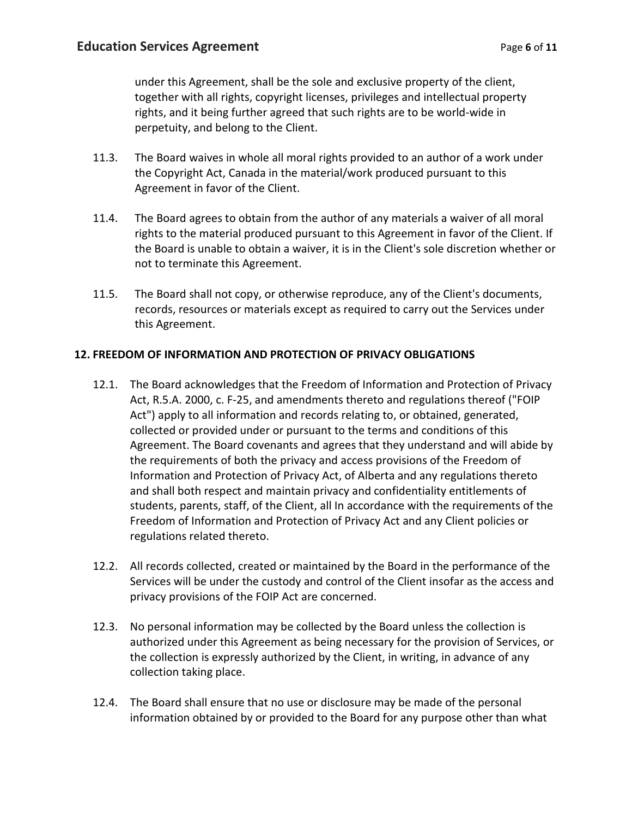under this Agreement, shall be the sole and exclusive property of the client, together with all rights, copyright licenses, privileges and intellectual property rights, and it being further agreed that such rights are to be world-wide in perpetuity, and belong to the Client.

- 11.3. The Board waives in whole all moral rights provided to an author of a work under the Copyright Act, Canada in the material/work produced pursuant to this Agreement in favor of the Client.
- 11.4. The Board agrees to obtain from the author of any materials a waiver of all moral rights to the material produced pursuant to this Agreement in favor of the Client. If the Board is unable to obtain a waiver, it is in the Client's sole discretion whether or not to terminate this Agreement.
- 11.5. The Board shall not copy, or otherwise reproduce, any of the Client's documents, records, resources or materials except as required to carry out the Services under this Agreement.

# **12. FREEDOM OF INFORMATION AND PROTECTION OF PRIVACY OBLIGATIONS**

- 12.1. The Board acknowledges that the Freedom of Information and Protection of Privacy Act, R.5.A. 2000, c. F-25, and amendments thereto and regulations thereof ("FOIP Act") apply to all information and records relating to, or obtained, generated, collected or provided under or pursuant to the terms and conditions of this Agreement. The Board covenants and agrees that they understand and will abide by the requirements of both the privacy and access provisions of the Freedom of Information and Protection of Privacy Act, of Alberta and any regulations thereto and shall both respect and maintain privacy and confidentiality entitlements of students, parents, staff, of the Client, all In accordance with the requirements of the Freedom of Information and Protection of Privacy Act and any Client policies or regulations related thereto.
- 12.2. All records collected, created or maintained by the Board in the performance of the Services will be under the custody and control of the Client insofar as the access and privacy provisions of the FOIP Act are concerned.
- 12.3. No personal information may be collected by the Board unless the collection is authorized under this Agreement as being necessary for the provision of Services, or the collection is expressly authorized by the Client, in writing, in advance of any collection taking place.
- 12.4. The Board shall ensure that no use or disclosure may be made of the personal information obtained by or provided to the Board for any purpose other than what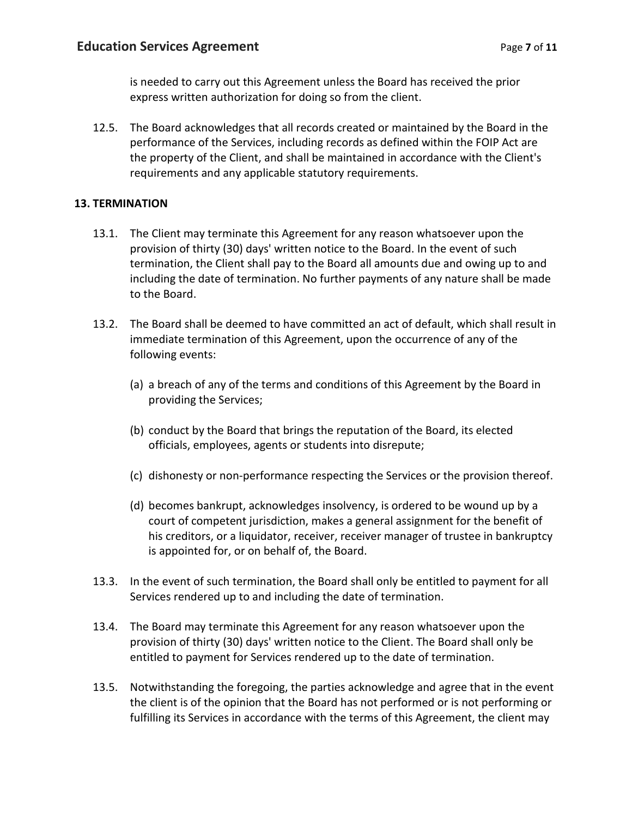is needed to carry out this Agreement unless the Board has received the prior express written authorization for doing so from the client.

12.5. The Board acknowledges that all records created or maintained by the Board in the performance of the Services, including records as defined within the FOIP Act are the property of the Client, and shall be maintained in accordance with the Client's requirements and any applicable statutory requirements.

# **13. TERMINATION**

- 13.1. The Client may terminate this Agreement for any reason whatsoever upon the provision of thirty (30) days' written notice to the Board. In the event of such termination, the Client shall pay to the Board all amounts due and owing up to and including the date of termination. No further payments of any nature shall be made to the Board.
- 13.2. The Board shall be deemed to have committed an act of default, which shall result in immediate termination of this Agreement, upon the occurrence of any of the following events:
	- (a) a breach of any of the terms and conditions of this Agreement by the Board in providing the Services;
	- (b) conduct by the Board that brings the reputation of the Board, its elected officials, employees, agents or students into disrepute;
	- (c) dishonesty or non-performance respecting the Services or the provision thereof.
	- (d) becomes bankrupt, acknowledges insolvency, is ordered to be wound up by a court of competent jurisdiction, makes a general assignment for the benefit of his creditors, or a liquidator, receiver, receiver manager of trustee in bankruptcy is appointed for, or on behalf of, the Board.
- 13.3. In the event of such termination, the Board shall only be entitled to payment for all Services rendered up to and including the date of termination.
- 13.4. The Board may terminate this Agreement for any reason whatsoever upon the provision of thirty (30) days' written notice to the Client. The Board shall only be entitled to payment for Services rendered up to the date of termination.
- 13.5. Notwithstanding the foregoing, the parties acknowledge and agree that in the event the client is of the opinion that the Board has not performed or is not performing or fulfilling its Services in accordance with the terms of this Agreement, the client may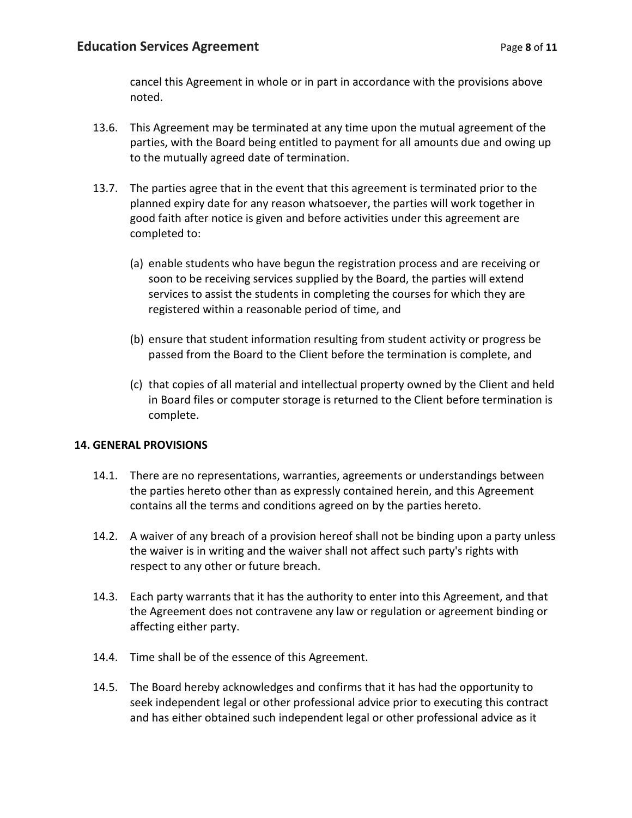cancel this Agreement in whole or in part in accordance with the provisions above noted.

- 13.6. This Agreement may be terminated at any time upon the mutual agreement of the parties, with the Board being entitled to payment for all amounts due and owing up to the mutually agreed date of termination.
- 13.7. The parties agree that in the event that this agreement is terminated prior to the planned expiry date for any reason whatsoever, the parties will work together in good faith after notice is given and before activities under this agreement are completed to:
	- (a) enable students who have begun the registration process and are receiving or soon to be receiving services supplied by the Board, the parties will extend services to assist the students in completing the courses for which they are registered within a reasonable period of time, and
	- (b) ensure that student information resulting from student activity or progress be passed from the Board to the Client before the termination is complete, and
	- (c) that copies of all material and intellectual property owned by the Client and held in Board files or computer storage is returned to the Client before termination is complete.

# **14. GENERAL PROVISIONS**

- 14.1. There are no representations, warranties, agreements or understandings between the parties hereto other than as expressly contained herein, and this Agreement contains all the terms and conditions agreed on by the parties hereto.
- 14.2. A waiver of any breach of a provision hereof shall not be binding upon a party unless the waiver is in writing and the waiver shall not affect such party's rights with respect to any other or future breach.
- 14.3. Each party warrants that it has the authority to enter into this Agreement, and that the Agreement does not contravene any law or regulation or agreement binding or affecting either party.
- 14.4. Time shall be of the essence of this Agreement.
- 14.5. The Board hereby acknowledges and confirms that it has had the opportunity to seek independent legal or other professional advice prior to executing this contract and has either obtained such independent legal or other professional advice as it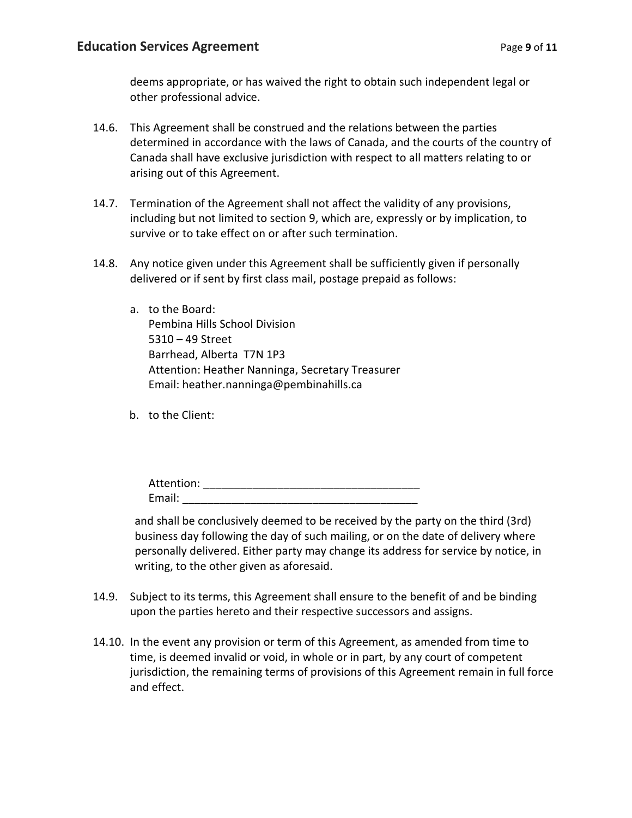deems appropriate, or has waived the right to obtain such independent legal or other professional advice.

- 14.6. This Agreement shall be construed and the relations between the parties determined in accordance with the laws of Canada, and the courts of the country of Canada shall have exclusive jurisdiction with respect to all matters relating to or arising out of this Agreement.
- 14.7. Termination of the Agreement shall not affect the validity of any provisions, including but not limited to section 9, which are, expressly or by implication, to survive or to take effect on or after such termination.
- 14.8. Any notice given under this Agreement shall be sufficiently given if personally delivered or if sent by first class mail, postage prepaid as follows:
	- a. to the Board: Pembina Hills School Division 5310 – 49 Street Barrhead, Alberta T7N 1P3 Attention: Heather Nanninga, Secretary Treasurer Email: heather.nanninga@pembinahills.ca
	- b. to the Client:

| Attention: |  |  |  |
|------------|--|--|--|
| Email:     |  |  |  |

and shall be conclusively deemed to be received by the party on the third (3rd) business day following the day of such mailing, or on the date of delivery where personally delivered. Either party may change its address for service by notice, in writing, to the other given as aforesaid.

- 14.9. Subject to its terms, this Agreement shall ensure to the benefit of and be binding upon the parties hereto and their respective successors and assigns.
- 14.10. In the event any provision or term of this Agreement, as amended from time to time, is deemed invalid or void, in whole or in part, by any court of competent jurisdiction, the remaining terms of provisions of this Agreement remain in full force and effect.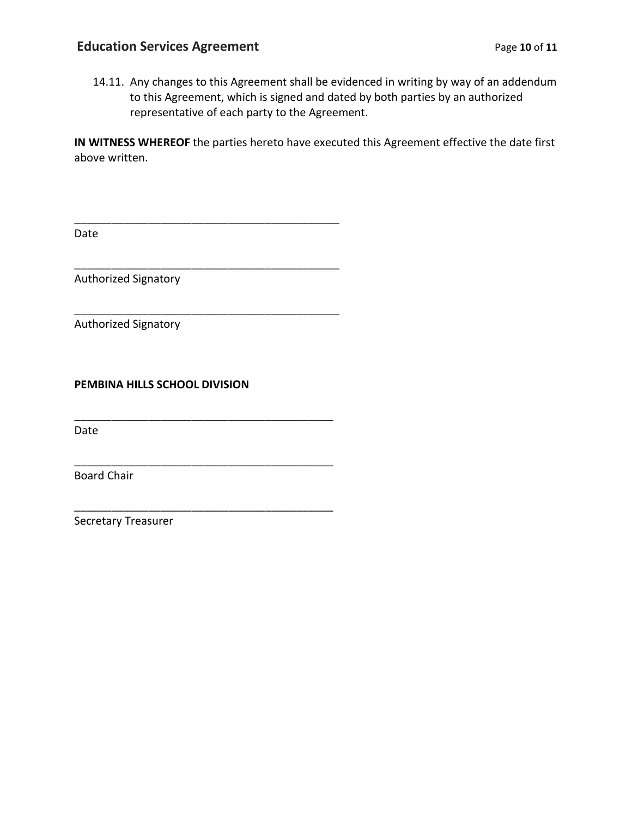\_\_\_\_\_\_\_\_\_\_\_\_\_\_\_\_\_\_\_\_\_\_\_\_\_\_\_\_\_\_\_\_\_\_\_\_\_\_\_\_\_\_\_

\_\_\_\_\_\_\_\_\_\_\_\_\_\_\_\_\_\_\_\_\_\_\_\_\_\_\_\_\_\_\_\_\_\_\_\_\_\_\_\_\_\_\_

\_\_\_\_\_\_\_\_\_\_\_\_\_\_\_\_\_\_\_\_\_\_\_\_\_\_\_\_\_\_\_\_\_\_\_\_\_\_\_\_\_\_\_

\_\_\_\_\_\_\_\_\_\_\_\_\_\_\_\_\_\_\_\_\_\_\_\_\_\_\_\_\_\_\_\_\_\_\_\_\_\_\_\_\_\_

\_\_\_\_\_\_\_\_\_\_\_\_\_\_\_\_\_\_\_\_\_\_\_\_\_\_\_\_\_\_\_\_\_\_\_\_\_\_\_\_\_\_

\_\_\_\_\_\_\_\_\_\_\_\_\_\_\_\_\_\_\_\_\_\_\_\_\_\_\_\_\_\_\_\_\_\_\_\_\_\_\_\_\_\_

14.11. Any changes to this Agreement shall be evidenced in writing by way of an addendum to this Agreement, which is signed and dated by both parties by an authorized representative of each party to the Agreement.

**IN WITNESS WHEREOF** the parties hereto have executed this Agreement effective the date first above written.

Date

Authorized Signatory

Authorized Signatory

**PEMBINA HILLS SCHOOL DIVISION**

Date

Board Chair

Secretary Treasurer